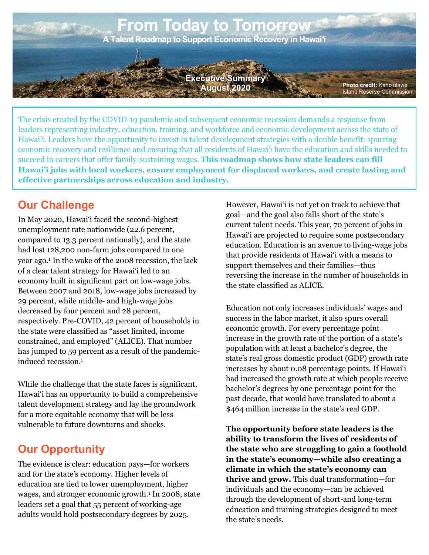

The crisis created by the COVID-19 pandemic and subsequent economic recession demands a response from leaders representing industry, education, training, and workforce and economic development across the state of Hawai'i. Leaders have the opportunity to invest in talent development strategies with a double benefit: spurring economic recovery and resilience and ensuring that all residents of Hawai'i have the education and skills needed to succeed in careers that offer family-sustaining wages. **This roadmap shows how state leaders can fill Hawai'i jobs with local workers, ensure employment for displaced workers, and create lasting and effective partnerships across education and industry.**

# **Our Challenge**

In May 2020, Hawai'i faced the second-highest unemployment rate nationwide (22.6 percent, compared to 13.3 percent nationally), and the state had lost 128,200 non-farm jobs compared to one year ago.1 In the wake of the 2008 recession, the lack of a clear talent strategy for Hawai'i led to an economy built in significant part on low-wage jobs. Between 2007 and 2018, low-wage jobs increased by 29 percent, while middle- and high-wage jobs decreased by four percent and 28 percent, respectively. Pre-COVID, 42 percent of households in the state were classified as "asset limited, income constrained, and employed" (ALICE). That number has jumped to 59 percent as a result of the pandemicinduced recession.1

While the challenge that the state faces is significant, Hawai'i has an opportunity to build a comprehensive talent development strategy and lay the groundwork for a more equitable economy that will be less vulnerable to future downturns and shocks.

## **Our Opportunity**

The evidence is clear: education pays—for workers and for the state's economy. Higher levels of education are tied to lower unemployment, higher wages, and stronger economic growth. <sup>1</sup> In 2008, state leaders set a goal that 55 percent of working-age adults would hold postsecondary degrees by 2025.

However, Hawai'i is not yet on track to achieve that goal—and the goal also falls short of the state's current talent needs. This year, 70 percent of jobs in Hawai'i are projected to require some postsecondary education. Education is an avenue to living-wage jobs that provide residents of Hawai'i with a means to support themselves and their families—thus reversing the increase in the number of households in the state classified as ALICE.

Education not only increases individuals' wages and success in the labor market, it also spurs overall economic growth. For every percentage point increase in the growth rate of the portion of a state's population with at least a bachelor's degree, the state's real gross domestic product (GDP) growth rate increases by about 0.08 percentage points. If Hawai'i had increased the growth rate at which people receive bachelor's degrees by one percentage point for the past decade, that would have translated to about a \$464 million increase in the state's real GDP.

**The opportunity before state leaders is the ability to transform the lives of residents of the state who are struggling to gain a foothold in the state's economy—while also creating a climate in which the state's economy can thrive and grow.** This dual transformation—for individuals and the economy—can be achieved through the development of short-and long-term education and training strategies designed to meet the state's needs.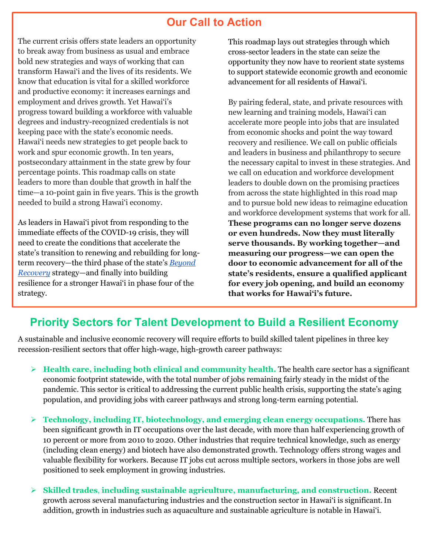## **Our Call to Action**

The current crisis offers state leaders an opportunity to break away from business as usual and embrace bold new strategies and ways of working that can transform Hawai'i and the lives of its residents. We know that education is vital for a skilled workforce and productive economy: it increases earnings and employment and drives growth. Yet Hawai'i's progress toward building a workforce with valuable degrees and industry-recognized credentials is not keeping pace with the state's economic needs. Hawai'i needs new strategies to get people back to work and spur economic growth. In ten years, postsecondary attainment in the state grew by four percentage points. This roadmap calls on state leaders to more than double that growth in half the time—a 10-point gain in five years. This is the growth needed to build a strong Hawai'i economy.

As leaders in Hawai'i pivot from responding to the immediate effects of the COVID-19 crisis, they will need to create the conditions that accelerate the state's transition to renewing and rebuilding for longterm recovery—the third phase of the state's *[Beyond](https://governor.hawaii.gov/wp-content/uploads/2020/05/Gov_Reopening-Presentation-Slide-Deck_18-May-2020.pdf)  [Recovery](https://governor.hawaii.gov/wp-content/uploads/2020/05/Gov_Reopening-Presentation-Slide-Deck_18-May-2020.pdf)* strategy—and finally into building resilience for a stronger Hawai'i in phase four of the strategy.

This roadmap lays out strategies through which cross-sector leaders in the state can seize the opportunity they now have to reorient state systems to support statewide economic growth and economic advancement for all residents of Hawai'i.

By pairing federal, state, and private resources with new learning and training models, Hawai'i can accelerate more people into jobs that are insulated from economic shocks and point the way toward recovery and resilience. We call on public officials and leaders in business and philanthropy to secure the necessary capital to invest in these strategies. And we call on education and workforce development leaders to double down on the promising practices from across the state highlighted in this road map and to pursue bold new ideas to reimagine education and workforce development systems that work for all. **These programs can no longer serve dozens or even hundreds. Now they must literally serve thousands. By working together—and measuring our progress—we can open the door to economic advancement for all of the state's residents, ensure a qualified applicant for every job opening, and build an economy that works for Hawai'i's future.**

## **Priority Sectors for Talent Development to Build a Resilient Economy**

A sustainable and inclusive economic recovery will require efforts to build skilled talent pipelines in three key recession-resilient sectors that offer high-wage, high-growth career pathways:

- **Health care, including both clinical and community health.** The health care sector has a significant economic footprint statewide, with the total number of jobs remaining fairly steady in the midst of the pandemic. This sector is critical to addressing the current public health crisis, supporting the state's aging population, and providing jobs with career pathways and strong long-term earning potential.
- **Technology, including IT, biotechnology, and emerging clean energy occupations.** There has been significant growth in IT occupations over the last decade, with more than half experiencing growth of 10 percent or more from 2010 to 2020. Other industries that require technical knowledge, such as energy (including clean energy) and biotech have also demonstrated growth. Technology offers strong wages and valuable flexibility for workers. Because IT jobs cut across multiple sectors, workers in those jobs are well positioned to seek employment in growing industries.
- **Skilled trades**, **including sustainable agriculture, manufacturing, and construction.** Recent growth across several manufacturing industries and the construction sector in Hawai'i is significant.In addition, growth in industries such as aquaculture and sustainable agriculture is notable in Hawai'i.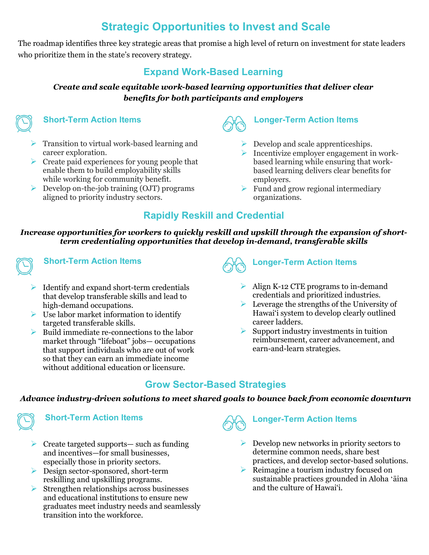# **Strategic Opportunities to Invest and Scale**

The roadmap identifies three key strategic areas that promise a high level of return on investment for state leaders who prioritize them in the state's recovery strategy.

### **Expand Work-Based Learning**

#### *Create and scale equitable work-based learning opportunities that deliver clear benefits for both participants and employers*

### **Short-Term Action Items**

- $\triangleright$  Transition to virtual work-based learning and career exploration.
- $\triangleright$  Create paid experiences for young people that enable them to build employability skills while working for community benefit.
- $\triangleright$  Develop on-the-job training (OJT) programs aligned to priority industry sectors.

## **Longer-Term Action Items**

- $\triangleright$  Develop and scale apprenticeships.
- $\triangleright$  Incentivize employer engagement in workbased learning while ensuring that workbased learning delivers clear benefits for employers.
- $\triangleright$  Fund and grow regional intermediary organizations.

### **Rapidly Reskill and Credential**

#### *Increase opportunities for workers to quickly reskill and upskill through the expansion of shortterm credentialing opportunities that develop in-demand, transferable skills*



#### **Short-Term Action Items**

- $\triangleright$  Identify and expand short-term credentials that develop transferable skills and lead to high-demand occupations.
- $\triangleright$  Use labor market information to identify targeted transferable skills.
- $\triangleright$  Build immediate re-connections to the labor market through "lifeboat" jobs— occupations that support individuals who are out of work so that they can earn an immediate income without additional education or licensure.

# **Longer-Term Action Items**

- $\triangleright$  Align K-12 CTE programs to in-demand credentials and prioritized industries.
- $\triangleright$  Leverage the strengths of the University of Hawai'i system to develop clearly outlined career ladders.
- $\triangleright$  Support industry investments in tuition reimbursement, career advancement, and earn-and-learn strategies.

## **Grow Sector-Based Strategies**

#### *Advance industry-driven solutions to meet shared goals to bounce back from economic downturn*



#### **Short-Term Action Items**

- $\triangleright$  Create targeted supports— such as funding and incentives—for small businesses, especially those in priority sectors.
- ▶ Design sector-sponsored, short-term reskilling and upskilling programs.
- $\triangleright$  Strengthen relationships across businesses and educational institutions to ensure new graduates meet industry needs and seamlessly transition into the workforce.

**Longer-Term Action Items**

- $\triangleright$  Develop new networks in priority sectors to determine common needs, share best practices, and develop sector-based solutions.
- Reimagine a tourism industry focused on sustainable practices grounded in Aloha ʻāina and the culture of Hawai'i.